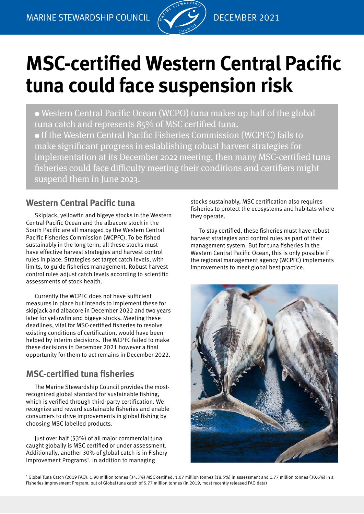

# **MSC-certified Western Central Pacific tuna could face suspension risk**

• Western Central Pacific Ocean (WCPO) tuna makes up half of the global tuna catch and represents 85% of MSC certified tuna. • If the Western Central Pacific Fisheries Commission (WCPFC) fails to make significant progress in establishing robust harvest strategies for implementation at its December 2022 meeting, then many MSC-certified tuna fisheries could face difficulty meeting their conditions and certifiers might suspend them in June 2023.

# **Western Central Pacific tuna**

Skipjack, yellowfin and bigeye stocks in the Western Central Pacific Ocean and the albacore stock in the South Pacific are all managed by the Western Central Pacific Fisheries Commission (WCPFC). To be fished sustainably in the long term, all these stocks must have effective harvest strategies and harvest control rules in place. Strategies set target catch levels, with limits, to guide fisheries management. Robust harvest control rules adjust catch levels according to scientific assessments of stock health.

Currently the WCPFC does not have sufficient measures in place but intends to implement these for skipjack and albacore in December 2022 and two years later for yellowfin and bigeye stocks. Meeting these deadlines, vital for MSC-certified fisheries to resolve existing conditions of certification, would have been helped by interim decisions. The WCPFC failed to make these decisions in December 2021 however a final opportunity for them to act remains in December 2022.

# **MSC-certified tuna fisheries**

The Marine Stewardship Council provides the mostrecognized global standard for sustainable fishing, which is verified through third-party certification. We recognize and reward sustainable fisheries and enable consumers to drive improvements in global fishing by choosing MSC labelled products.

Just over half (53%) of all major commercial tuna caught globally is MSC certified or under assessment. Additionally, another 30% of global catch is in Fishery Improvement Programs<sup>1</sup>. In addition to managing

stocks sustainably, MSC certification also requires fisheries to protect the ecosystems and habitats where they operate.

To stay certified, these fisheries must have robust harvest strategies and control rules as part of their management system. But for tuna fisheries in the Western Central Pacific Ocean, this is only possible if the regional management agency (WCPFC) implements improvements to meet global best practice.



1 Global Tuna Catch (2019 FAO): 1.98 million tonnes (34.3%) MSC certified, 1.07 million tonnes (18.5%) in assessment and 1.77 million tonnes (30.6%) in a Fisheries Improvement Program, out of Global tuna catch of 5.77 million tonnes (in 2019, most recently released FAO data)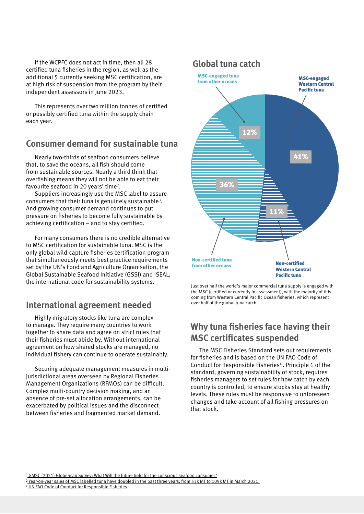If the WCPFC does not act in time, then all 28 certified tuna fisheries in the region, as well as the additional 5 currently seeking MSC certification, are at high risk of suspension from the program by their independent assessors in June 2023.

This represents over two million tonnes of certified or possibly certified tuna within the supply chain each year.

#### **Consumer demand for sustainable tuna**

Nearly two-thirds of seafood consumers believe that, to save the oceans, all fish should come from sustainable sources. Nearly a third think that overfishing means they will not be able to eat their favourite seafood in 20 years' time<sup>2</sup>.

Suppliers increasingly use the MSC label to assure consumers that their tuna is genuinely sustainable3 . And growing consumer demand continues to put pressure on fisheries to become fully sustainable by achieving certification – and to stay certified.

For many consumers there is no credible alternative to MSC certification for sustainable tuna. MSC is the only global wild-capture fisheries certification program that simultaneously meets best practice requirements set by the UN's Food and Agriculture Organisation, the Global Sustainable Seafood Initiative (GSSI) and ISEAL, the international code for sustainability systems.

#### **International agreement needed**

Highly migratory stocks like tuna are complex to manage. They require many countries to work together to share data and agree on strict rules that their fisheries must abide by. Without international agreement on how shared stocks are managed, no individual fishery can continue to operate sustainably.

Securing adequate management measures in multijurisdictional areas overseen by Regional Fisheries Management Organizations (RFMOs) can be difficult. Complex multi-country decision making, and an absence of pre-set allocation arrangements, can be exacerbated by political issues and the disconnect between fisheries and fragmented market demand.



Just over half the world's major commercial tuna supply is engaged with the MSC (certified or currently in assessment), with the majority of this coming from Western Central Pacific Ocean fisheries, which represent over half of the global tuna catch.

# **Why tuna fisheries face having their MSC certificates suspended**

The MSC Fisheries Standard sets out requirements for fisheries and is based on the UN FAO Code of Conduct for Responsible Fisheries<sup>4</sup>. Principle 1 of the standard, governing sustainability of stock, requires fisheries managers to set rules for how catch by each country is controlled, to ensure stocks stay at healthy levels. These rules must be responsive to unforeseen changes and take account of all fishing pressures on that stock.

2  [GMSC \(2021\) GlobeScan Survey: What Will the future hold for the conscious seafood consumer?](https://www.msc.org/docs/default-source/na-files/msc-globescan-conscious-consumer-seafood-expo-march17-2021.pdf)

<sup>3</sup> Year-on-year sales of MSC labelled tuna have doubled in the past three years, from 53k MT to 109k MT in March 2021.

4 [UN FAO Code of Conduct for Responsible Fisheries](http://www.fao.org/3/v9878e/v9878e00.htm)